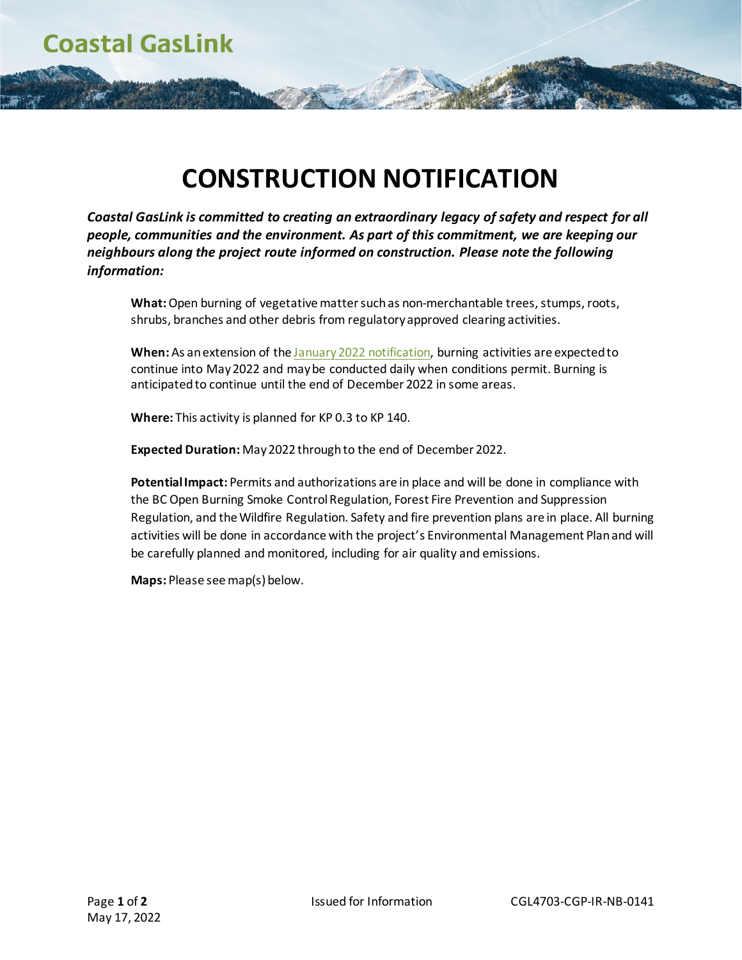**Coastal GasLink** 

## **CONSTRUCTION NOTIFICATION**

*Coastal GasLink is committed to creating an extraordinary legacy of safety and respect for all people, communities and the environment. As part of this commitment, we are keeping our neighbours along the project route informed on construction. Please note the following information:*

**What:** Open burning of vegetative matter such as non-merchantable trees, stumps, roots, shrubs, branches and other debris from regulatory approved clearing activities.

**When:** As an extension of th[e January 2022](https://www.coastalgaslink.com/siteassets/pdfs/construction/notifications/cgl4703-cgp-ir-nb-0127_burning_notice_cs1_gbc_jan_06_2022.pdf) notification, burning activities are expected to continue into May2022 and may be conducted daily when conditions permit. Burning is anticipated to continue until the end of December 2022 in some areas.

**Where:** This activity is planned for KP 0.3 to KP 140.

**Expected Duration:** May2022 through to the end of December 2022.

**Potential Impact:** Permits and authorizations are in place and will be done in compliance with the BC Open Burning Smoke Control Regulation, Forest Fire Prevention and Suppression Regulation, and the Wildfire Regulation. Safety and fire prevention plans are in place. All burning activities will be done in accordance with the project's Environmental Management Plan and will be carefully planned and monitored, including for air quality and emissions.

**Maps:** Please see map(s) below.